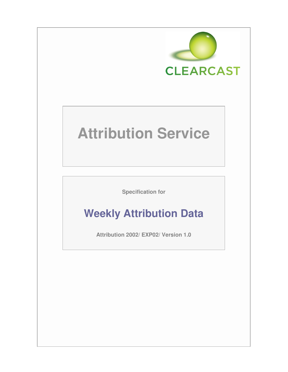

# **Attribution Service**

**Specification for** 

# **Weekly Attribution Data**

**Attribution 2002/ EXP02/ Version 1.0**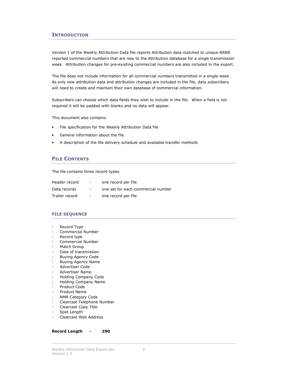# **INTRODUCTION**

Version 1 of the Weekly Attribution Data file reports Attribution data matched to unique BARB reported commercial numbers that are new to the Attribution database for a single transmission week. Attribution changes for pre-existing commercial numbers are also included in the export.

The file does not include information for all commercial numbers transmitted in a single week. As only new attribution data and attribution changes are included in the file, data subscribers will need to create and maintain their own database of commercial information.

Subscribers can choose which data fields they wish to include in the file. When a field is not required it will be padded with blanks and no data will appear.

This document also contains:

- File specification for the Weekly Attribution Data file
- General information about the file
- A description of the file delivery schedule and available transfer methods

# FILE CONTENTS

The file contains three record types.

| Header record  | $\sim$ 100 $\mu$ | one record per file                |
|----------------|------------------|------------------------------------|
| Data records   | $\sim$           | one set for each commercial number |
| Trailer record | $\sim$ 10 $\pm$  | one record per file                |

#### FILE SEQUENCE

- Record Type
- Commercial Number
- Record type
- Commercial Number
- Match Group
- Date of transmission
- Buying Agency Code
- Buying Agency Name
- Advertiser Code
- Advertiser Name
- Holding Company Code
- Holding Company Name
- Product Code
- Product Name
- NMR Category Code
- Clearcast Telephone Number
- Clearcast Copy Title
- Spot Length
- Clearcast Web Address

#### Record Length - 290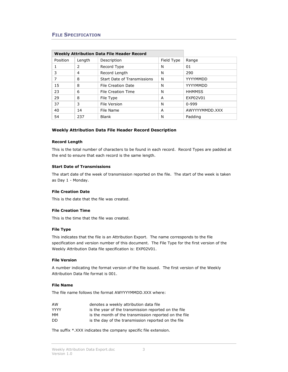# FILE SPECIFICATION

| <b>Weekly Attribution Data File Header Record</b> |        |                             |   |                |
|---------------------------------------------------|--------|-----------------------------|---|----------------|
| Position                                          | Length | Description<br>Field Type   |   | Range          |
|                                                   | 2      | N<br>Record Type            |   | 01             |
| 3                                                 | 4      | Record Length               | N | 290            |
| 7                                                 | 8      | Start Date of Transmissions | N | YYYYMMDD       |
| 15                                                | 8      | File Creation Date          | N | YYYYMMDD       |
| 23                                                | 6      | File Creation Time          | N | <b>HHMMSS</b>  |
| 29                                                | 8      | File Type                   | A | EXP02V01       |
| 37                                                | 3      | File Version                | N | $0 - 999$      |
| 40                                                | 14     | File Name                   | A | AWYYYYMMDD.XXX |
| 54                                                | 237    | <b>Blank</b>                | N | Padding        |

#### Weekly Attribution Data File Header Record Description

#### Record Length

This is the total number of characters to be found in each record. Record Types are padded at the end to ensure that each record is the same length.

#### Start Date of Transmissions

The start date of the week of transmission reported on the file. The start of the week is taken as Day 1 - Monday.

# File Creation Date

This is the date that the file was created.

#### File Creation Time

This is the time that the file was created.

#### File Type

This indicates that the file is an Attribution Export. The name corresponds to the file specification and version number of this document. The File Type for the first version of the Weekly Attribution Data file specification is: EXP02V01.

#### File Version

A number indicating the format version of the file issued. The first version of the Weekly Attribution Data file format is 001.

#### File Name

The file name follows the format AWYYYYMMDD.XXX where:

| AW          | denotes a weekly attribution data file                |
|-------------|-------------------------------------------------------|
| <b>YYYY</b> | is the year of the transmission reported on the file  |
| MМ          | is the month of the transmission reported on the file |
| DD.         | is the day of the transmission reported on the file   |

The suffix \*.XXX indicates the company specific file extension.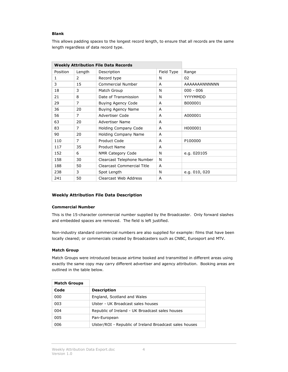# Blank

This allows padding spaces to the longest record length, to ensure that all records are the same length regardless of data record type.

|              | <b>Weekly Attribution File Data Records</b> |                                           |                  |               |
|--------------|---------------------------------------------|-------------------------------------------|------------------|---------------|
| Position     | Length                                      | Field Type<br>Description                 |                  | Range         |
| $\mathbf{1}$ | 2                                           | Record type<br>N                          |                  | 02            |
| 3            | 15                                          | Commercial Number                         | A                | AAAAAAANNNNNN |
| 18           | 3                                           | Match Group                               | N<br>$000 - 006$ |               |
| 21           | 8                                           | Date of Transmission                      | N<br>YYYYMMDD    |               |
| 29           | $\overline{7}$                              | <b>Buying Agency Code</b><br>B000001<br>A |                  |               |
| 36           | 20                                          | Buying Agency Name<br>A                   |                  |               |
| 56           | $\overline{7}$                              | Advertiser Code<br>A000001<br>A           |                  |               |
| 63           | 20                                          | Advertiser Name<br>A                      |                  |               |
| 83           | 7                                           | Holding Company Code<br>H000001<br>A      |                  |               |
| 90           | 20                                          | Holding Company Name<br>A                 |                  |               |
| 110          | $\overline{7}$                              | <b>Product Code</b>                       | A                | P100000       |
| 117          | 35                                          | <b>Product Name</b><br>A                  |                  |               |
| 152          | 6                                           | N<br>NMR Category Code<br>e.g. 020105     |                  |               |
| 158          | 30                                          | N<br>Clearcast Telephone Number           |                  |               |
| 188          | 50                                          | <b>Clearcast Commercial Title</b>         | A                |               |
| 238          | 3                                           | N<br>Spot Length<br>e.g. 010, 020         |                  |               |
| 241          | 50                                          | Clearcast Web Address                     | A                |               |

# Weekly Attribution File Data Description

#### Commercial Number

This is the 15-character commercial number supplied by the Broadcaster. Only forward slashes and embedded spaces are removed. The field is left justified.

Non-industry standard commercial numbers are also supplied for example: films that have been locally cleared; or commercials created by Broadcasters such as CNBC, Eurosport and MTV.

#### Match Group

Match Groups were introduced because airtime booked and transmitted in different areas using exactly the same copy may carry different advertiser and agency attribution. Booking areas are outlined in the table below.

| <b>Match Groups</b> |                                                         |  |
|---------------------|---------------------------------------------------------|--|
| Code                | <b>Description</b>                                      |  |
| 000                 | England, Scotland and Wales                             |  |
| 003                 | Ulster - UK Broadcast sales houses                      |  |
| 004                 | Republic of Ireland - UK Broadcast sales houses         |  |
| 005                 | Pan-European                                            |  |
| 006                 | Ulster/ROI - Republic of Ireland Broadcast sales houses |  |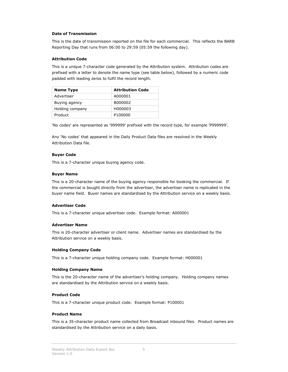#### Date of Transmission

This is the date of transmission reported on the file for each commercial. This reflects the BARB Reporting Day that runs from 06:00 to 29:59 (05:59 the following day).

#### Attribution Code

This is a unique 7-character code generated by the Attribution system. Attribution codes are prefixed with a letter to denote the name type (see table below), followed by a numeric code padded with leading zeros to fulfil the record length.

| <b>Name Type</b> | <b>Attribution Code</b> |  |
|------------------|-------------------------|--|
| Advertiser       | A000001                 |  |
| Buying agency    | B000002                 |  |
| Holding company  | H000003                 |  |
| Product          | P100000                 |  |

'No codes' are represented as '999999' prefixed with the record type, for example 'P999999'.

Any 'No codes' that appeared in the Daily Product Data files are resolved in the Weekly Attribution Data file.

#### Buyer Code

This is a 7-character unique buying agency code.

#### Buyer Name

This is a 20-character name of the buying agency responsible for booking the commercial. If the commercial is bought directly from the advertiser, the advertiser name is replicated in the buyer name field. Buyer names are standardised by the Attribution service on a weekly basis.

#### Advertiser Code

This is a 7-character unique advertiser code. Example format: A000001

#### Advertiser Name

This is 20-character advertiser or client name. Advertiser names are standardised by the Attribution service on a weekly basis.

#### Holding Company Code

This is a 7-character unique holding company code. Example format: H000001

#### Holding Company Name

This is the 20-character name of the advertiser's holding company. Holding company names are standardised by the Attribution service on a weekly basis.

#### Product Code

This is a 7-character unique product code. Example format: P100001

#### Product Name

This is a 35-character product name collected from Broadcast inbound files. Product names are standardised by the Attribution service on a daily basis.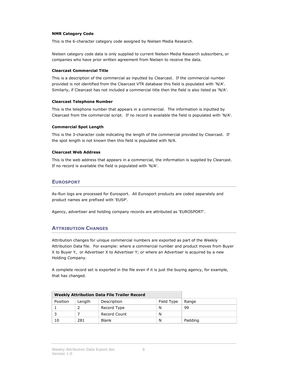#### NMR Category Code

This is the 6-character category code assigned by Nielsen Media Research.

Nielsen category code data is only supplied to current Nielsen Media Research subscribers, or companies who have prior written agreement from Nielsen to receive the data.

#### Clearcast Commercial Title

This is a description of the commercial as inputted by Clearcast. If the commercial number provided is not identified from the Clearcast VTR database this field is populated with 'N/A'. Similarly, if Clearcast has not included a commercial title then the field is also listed as 'N/A'.

#### Clearcast Telephone Number

This is the telephone number that appears in a commercial. The information is inputted by Clearcast from the commercial script. If no record is available the field is populated with 'N/A'.

#### Commercial Spot Length

This is the 3-character code indicating the length of the commercial provided by Clearcast. If the spot length is not known then this field is populated with N/A.

#### Clearcast Web Address

This is the web address that appears in a commercial, the information is supplied by Clearcast. If no record is available the field is populated with 'N/A'.

# EUROSPORT

As-Run logs are processed for Eurosport. All Eurosport products are coded separately and product names are prefixed with 'EUSP'.

Agency, advertiser and holding company records are attributed as 'EUROSPORT'.

# **ATTRIBUTION CHANGES**

Attribution changes for unique commercial numbers are exported as part of the Weekly Attribution Data file. For example: where a commercial number and product moves from Buyer X to Buyer Y, or Advertiser X to Advertiser Y; or where an Advertiser is acquired by a new Holding Company.

A complete record set is exported in the file even if it is just the buying agency, for example, that has changed.

| <b>Weekly Attribution Data File Trailer Record</b> |        |              |            |         |
|----------------------------------------------------|--------|--------------|------------|---------|
| Position                                           | Length | Description  | Field Type | Range   |
|                                                    |        | Record Type  | N          | 99      |
|                                                    |        | Record Count | N          |         |
| 10                                                 | 281    | <b>Blank</b> | N          | Padding |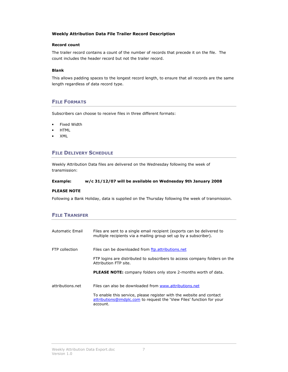# Weekly Attribution Data File Trailer Record Description

#### Record count

The trailer record contains a count of the number of records that precede it on the file. The count includes the header record but not the trailer record.

#### Blank

This allows padding spaces to the longest record length, to ensure that all records are the same length regardless of data record type.

# FILE FORMATS

Subscribers can choose to receive files in three different formats:

- Fixed Width
- HTML
- XML

# FILE DELIVERY SCHEDULE

Weekly Attribution Data files are delivered on the Wednesday following the week of transmission:

#### Example: w/c 31/12/07 will be available on Wednesday 9th January 2008

#### PLEASE NOTE

Following a Bank Holiday, data is supplied on the Thursday following the week of transmission.

# **FILE TRANSFER**

| Automatic Email       | Files are sent to a single email recipient (exports can be delivered to<br>multiple recipients via a mailing group set up by a subscriber).               |
|-----------------------|-----------------------------------------------------------------------------------------------------------------------------------------------------------|
| <b>FTP</b> collection | Files can be downloaded from ftp.attributions.net                                                                                                         |
|                       | FTP logins are distributed to subscribers to access company folders on the<br>Attribution FTP site.                                                       |
|                       | <b>PLEASE NOTE:</b> company folders only store 2-months worth of data.                                                                                    |
| attributions net      | Files can also be downloaded from www.attributions.net                                                                                                    |
|                       | To enable this service, please register with the website and contact<br>attributions@imdplc.com to request the 'View Files' function for your<br>account. |